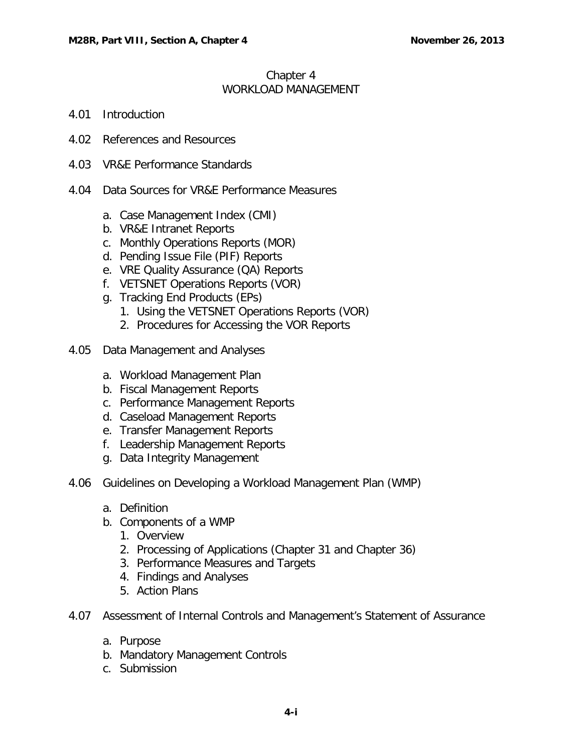#### Chapter 4 WORKLOAD MANAGEMENT

- 4.01 [Introduction](#page-2-0)
- 4.02 [References and Resources](#page-2-1)
- 4.03 [VR&E Performance Standards](#page-2-2)
- 4.04 [Data Sources for VR&E Performance Measures](#page-3-0)
	- a. [Case Management Index \(CMI\)](#page-3-1)
	- b. [VR&E Intranet Reports](#page-3-2)
	- c. [Monthly Operations Reports \(MOR\)](#page-4-0)
	- d. [Pending Issue File \(PIF\) Reports](#page-4-1)
	- e. [VRE Quality Assurance \(QA\) Reports](#page-4-2)
	- f. [VETSNET Operations Reports \(VOR\)](#page-4-3)
	- g. [Tracking End Products \(EPs\)](#page-5-0)
		- 1. [Using the VETSNET Operations Reports \(VOR\)](#page-5-1)
		- 2. [Procedures for Accessing the VOR Reports](#page-5-2)
- 4.05 [Data Management and Analyses](#page-8-0)
	- a. [Workload Management Plan](#page-8-1)
	- b. [Fiscal Management Reports](#page-8-2)
	- c. [Performance Management Reports](#page-9-0)
	- d. [Caseload Management Reports](#page-9-1)
	- e. [Transfer Management Reports](#page-9-2)
	- f. [Leadership Management Reports](#page-10-0)
	- g. [Data Integrity Management](#page-10-1)
- 4.06 [Guidelines on Developing a Workload Management Plan \(WMP\)](#page-10-2)
	- a. [Definition](#page-10-3)
	- b. [Components of a WMP](#page-11-0)
		- 1. [Overview](#page-11-1)
		- 2. [Processing of Applications \(Chapter 31 and Chapter 36\)](#page-12-0)
		- 3. [Performance Measures and Targets](#page-12-1)
		- 4. [Findings and Analyses](#page-21-0)
		- 5. [Action Plans](#page-21-1)
- 4.07 [Assessment of Internal Controls and Management's Statement of Assurance](#page-22-0)
	- a. [Purpose](#page-22-1)
	- b. [Mandatory Management Controls](#page-22-2)
	- c. [Submission](#page-23-0)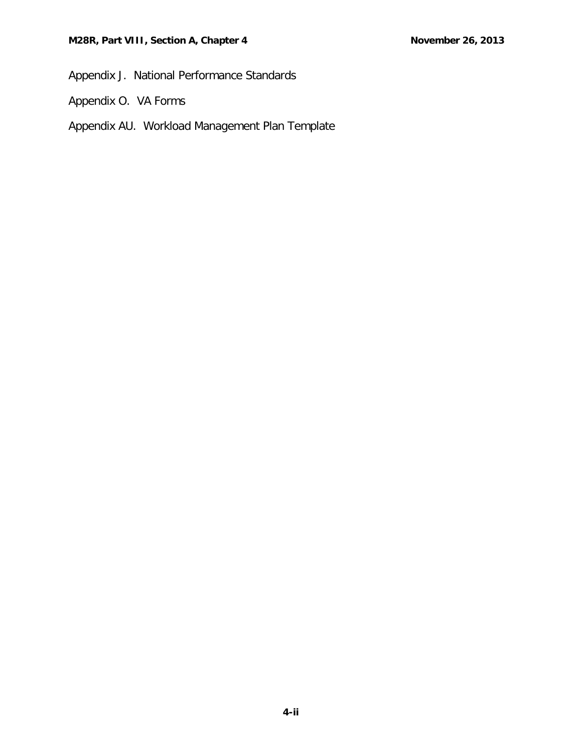Appendix J. National Performance Standards

- Appendix O. VA Forms
- Appendix AU. Workload Management Plan Template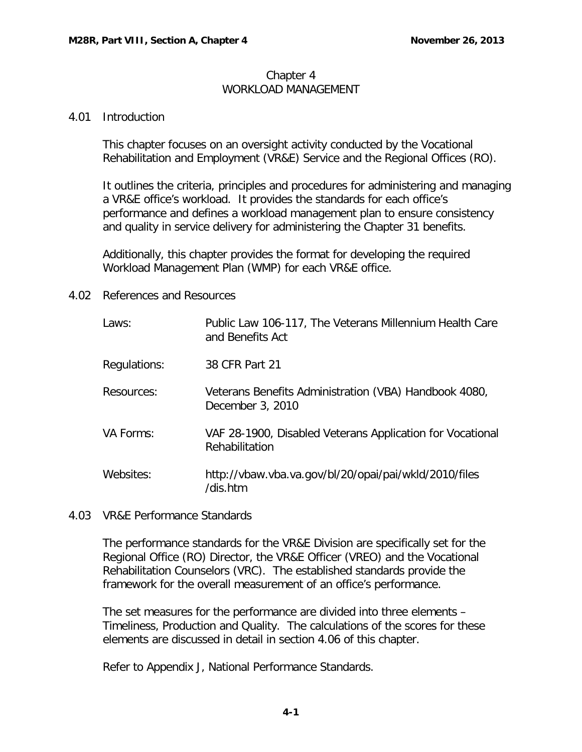### Chapter 4 WORKLOAD MANAGEMENT

### <span id="page-2-0"></span>4.01 Introduction

This chapter focuses on an oversight activity conducted by the Vocational Rehabilitation and Employment (VR&E) Service and the Regional Offices (RO).

It outlines the criteria, principles and procedures for administering and managing a VR&E office's workload. It provides the standards for each office's performance and defines a workload management plan to ensure consistency and quality in service delivery for administering the Chapter 31 benefits.

Additionally, this chapter provides the format for developing the required Workload Management Plan (WMP) for each VR&E office.

# <span id="page-2-1"></span>4.02 References and Resources

| Laws:        | Public Law 106-117, The Veterans Millennium Health Care<br>and Benefits Act |
|--------------|-----------------------------------------------------------------------------|
| Regulations: | 38 CFR Part 21                                                              |
| Resources:   | Veterans Benefits Administration (VBA) Handbook 4080,<br>December 3, 2010   |
| VA Forms:    | VAF 28-1900, Disabled Veterans Application for Vocational<br>Rehabilitation |
| Websites:    | http://vbaw.vba.va.gov/bl/20/opai/pai/wkld/2010/files<br>/dis.htm           |

# <span id="page-2-2"></span>4.03 VR&E Performance Standards

The performance standards for the VR&E Division are specifically set for the Regional Office (RO) Director, the VR&E Officer (VREO) and the Vocational Rehabilitation Counselors (VRC). The established standards provide the framework for the overall measurement of an office's performance.

The set measures for the performance are divided into three elements – Timeliness, Production and Quality. The calculations of the scores for these elements are discussed in detail in section 4.06 of this chapter.

Refer to Appendix J, National Performance Standards.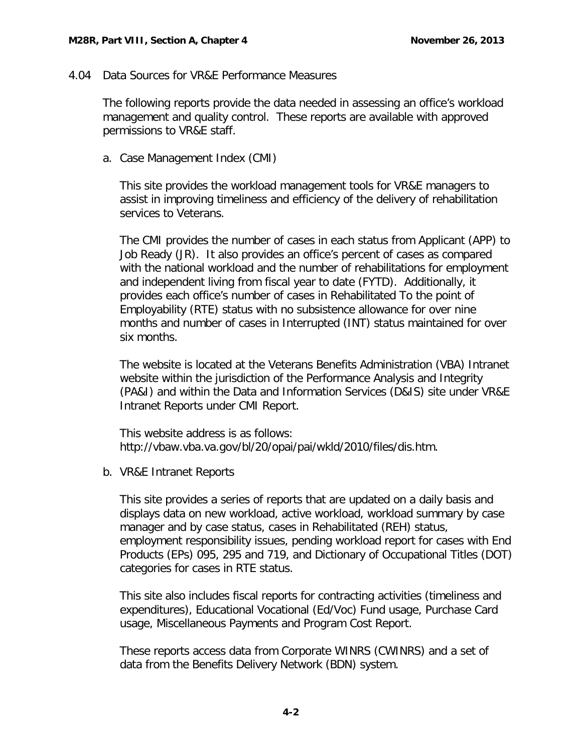### <span id="page-3-0"></span>4.04 Data Sources for VR&E Performance Measures

The following reports provide the data needed in assessing an office's workload management and quality control. These reports are available with approved permissions to VR&E staff.

<span id="page-3-1"></span>a. Case Management Index (CMI)

This site provides the workload management tools for VR&E managers to assist in improving timeliness and efficiency of the delivery of rehabilitation services to Veterans.

The CMI provides the number of cases in each status from Applicant (APP) to Job Ready (JR). It also provides an office's percent of cases as compared with the national workload and the number of rehabilitations for employment and independent living from fiscal year to date (FYTD). Additionally, it provides each office's number of cases in Rehabilitated To the point of Employability (RTE) status with no subsistence allowance for over nine months and number of cases in Interrupted (INT) status maintained for over six months.

The website is located at the Veterans Benefits Administration (VBA) Intranet website within the jurisdiction of the Performance Analysis and Integrity (PA&I) and within the Data and Information Services (D&IS) site under VR&E Intranet Reports under CMI Report.

This website address is as follows: http://vbaw.vba.va.gov/bl/20/opai/pai/wkld/2010/files/dis.htm.

<span id="page-3-2"></span>b. VR&E Intranet Reports

This site provides a series of reports that are updated on a daily basis and displays data on new workload, active workload, workload summary by case manager and by case status, cases in Rehabilitated (REH) status, employment responsibility issues, pending workload report for cases with End Products (EPs) 095, 295 and 719, and Dictionary of Occupational Titles (DOT) categories for cases in RTE status.

This site also includes fiscal reports for contracting activities (timeliness and expenditures), Educational Vocational (Ed/Voc) Fund usage, Purchase Card usage, Miscellaneous Payments and Program Cost Report.

These reports access data from Corporate WINRS (CWINRS) and a set of data from the Benefits Delivery Network (BDN) system.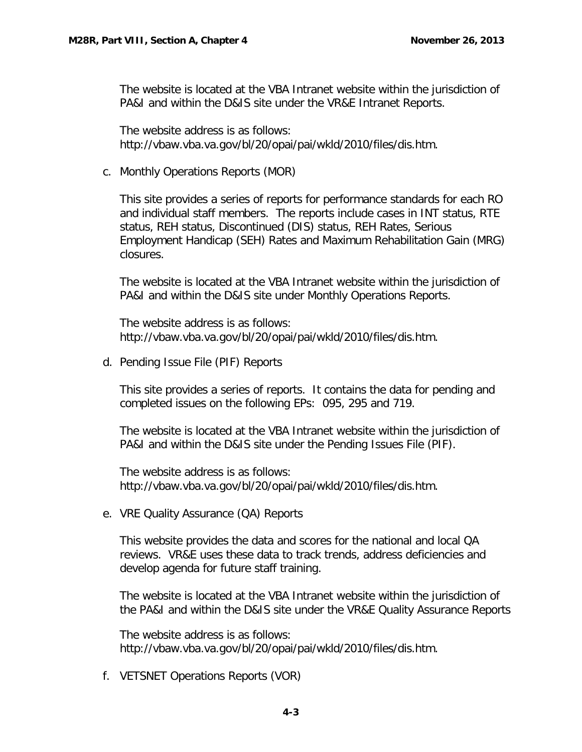The website is located at the VBA Intranet website within the jurisdiction of PA&I and within the D&IS site under the VR&E Intranet Reports.

The website address is as follows: http://vbaw.vba.va.gov/bl/20/opai/pai/wkld/2010/files/dis.htm.

<span id="page-4-0"></span>c. Monthly Operations Reports (MOR)

This site provides a series of reports for performance standards for each RO and individual staff members. The reports include cases in INT status, RTE status, REH status, Discontinued (DIS) status, REH Rates, Serious Employment Handicap (SEH) Rates and Maximum Rehabilitation Gain (MRG) closures.

The website is located at the VBA Intranet website within the jurisdiction of PA&I and within the D&IS site under Monthly Operations Reports.

The website address is as follows: http://vbaw.vba.va.gov/bl/20/opai/pai/wkld/2010/files/dis.htm.

<span id="page-4-1"></span>d. Pending Issue File (PIF) Reports

This site provides a series of reports. It contains the data for pending and completed issues on the following EPs: 095, 295 and 719.

The website is located at the VBA Intranet website within the jurisdiction of PA&I and within the D&IS site under the Pending Issues File (PIF).

The website address is as follows: http://vbaw.vba.va.gov/bl/20/opai/pai/wkld/2010/files/dis.htm.

<span id="page-4-2"></span>e. VRE Quality Assurance (QA) Reports

This website provides the data and scores for the national and local QA reviews. VR&E uses these data to track trends, address deficiencies and develop agenda for future staff training.

The website is located at the VBA Intranet website within the jurisdiction of the PA&I and within the D&IS site under the VR&E Quality Assurance Reports

The website address is as follows: http://vbaw.vba.va.gov/bl/20/opai/pai/wkld/2010/files/dis.htm.

<span id="page-4-3"></span>f. VETSNET Operations Reports (VOR)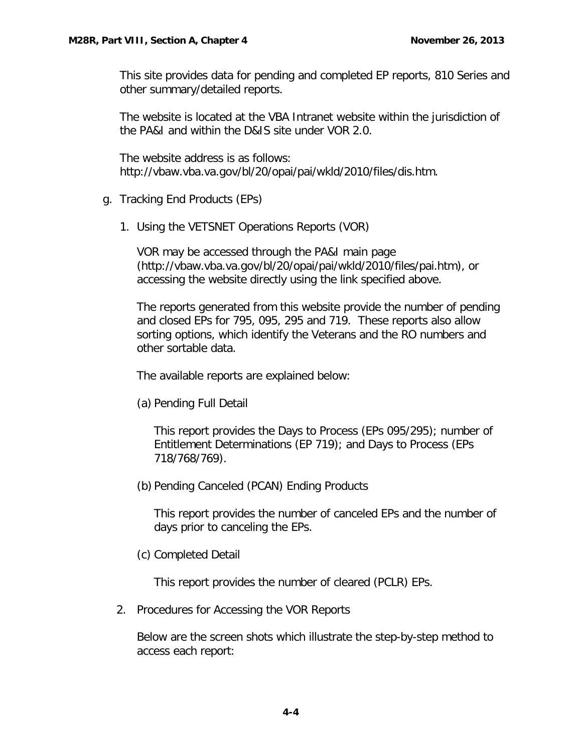This site provides data for pending and completed EP reports, 810 Series and other summary/detailed reports.

The website is located at the VBA Intranet website within the jurisdiction of the PA&I and within the D&IS site under VOR 2.0.

The website address is as follows: http://vbaw.vba.va.gov/bl/20/opai/pai/wkld/2010/files/dis.htm.

- <span id="page-5-1"></span><span id="page-5-0"></span>g. Tracking End Products (EPs)
	- 1. Using the VETSNET Operations Reports (VOR)

VOR may be accessed through the PA&I main page (http://vbaw.vba.va.gov/bl/20/opai/pai/wkld/2010/files/pai.htm), or accessing the website directly using the link specified above.

The reports generated from this website provide the number of pending and closed EPs for 795, 095, 295 and 719. These reports also allow sorting options, which identify the Veterans and the RO numbers and other sortable data.

The available reports are explained below:

(a) Pending Full Detail

This report provides the Days to Process (EPs 095/295); number of Entitlement Determinations (EP 719); and Days to Process (EPs 718/768/769).

(b) Pending Canceled (PCAN) Ending Products

This report provides the number of canceled EPs and the number of days prior to canceling the EPs.

(c) Completed Detail

This report provides the number of cleared (PCLR) EPs.

<span id="page-5-2"></span>2. Procedures for Accessing the VOR Reports

Below are the screen shots which illustrate the step-by-step method to access each report: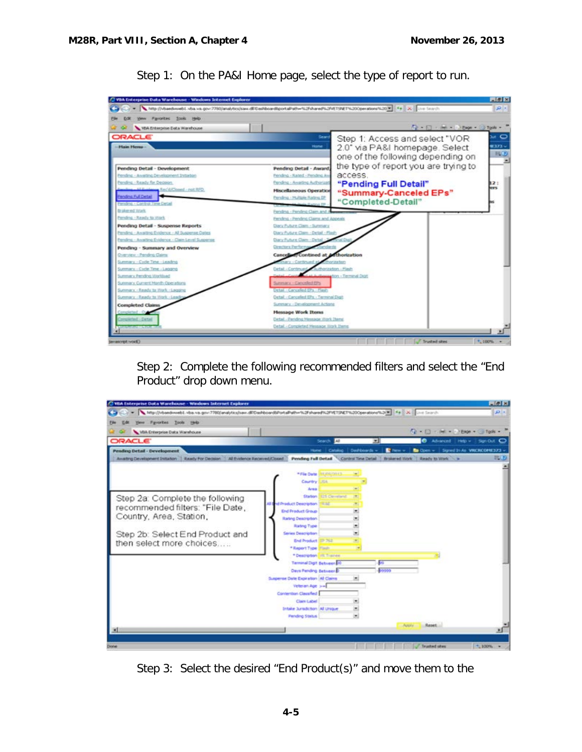

Step 1: On the PA&I Home page, select the type of report to run.

Step 2: Complete the following recommended filters and select the "End Product" drop down menu.



Step 3: Select the desired "End Product(s)" and move them to the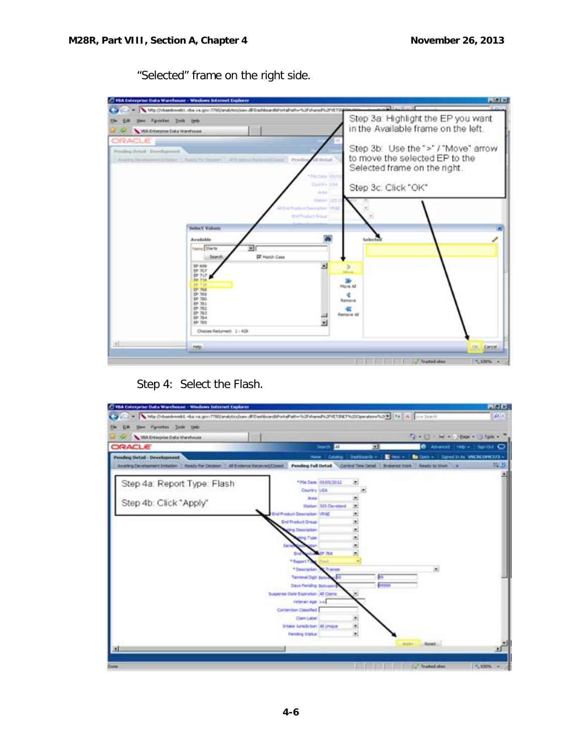/ VBA Enterprise Data Warehouse - Windows Internet Englance **FINE** C - Mpijivbe ebt.vba.va.g NJFehared NJP/ET Step 3a: Highlight the EP you want the Lift they Favorter Inch the in the Available frame on the left.  $\mathcal{L}$   $\Diamond$   $\blacktriangleright$  VBA Enterprise Data Warehouse **ORACLE** Step 3b: Use the ">" / "Move" arrow Pending Detail - Development to move the selected EP to the **Guithic Devi** and Dollarson, T. Balack Selected frame on the right. **Country Lits** Step 3c: Click "OK" Solect Values œ Available و Name Sharts 回 **IV** Match Case  $-5$ 픠 EP 69  $\mathbf{B}$  $\begin{array}{l} 67.707 \\ 67.717 \\ 49.718 \end{array}$ **SD**<br>Maye All 中小野野野野野野野野野 ¢ h. œ Nove All 뇌 Choices Returned: 1 - 428 w. **PMS** OK. Cartos! Trusted sites  $^{-1}$ , 100%

"Selected" frame on the right side.

Step 4: Select the Flash.

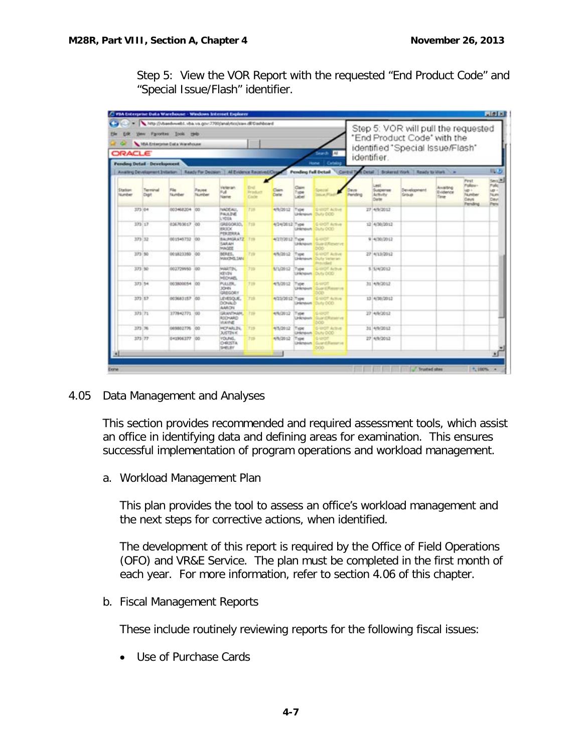Step 5: View the VOR Report with the requested "End Product Code" and "Special Issue/Flash" identifier.

| http://vbaedweb1.vba.va.gov:7780/analytics/sies.dE/Dairboard<br>you Favores: Jook this<br>108<br>VEA Enterprise Data Warehouse<br>ORACLE<br>Search.<br>AL |                                     |                         |                 |                                                                                   |                                   |                 |                                | Step 5: VOR will pull the requested<br>"End Product Code" with the<br>identified "Special Issue/Flash" |             |                                                |                                                         |                                     |                                                                    |                                                      |
|-----------------------------------------------------------------------------------------------------------------------------------------------------------|-------------------------------------|-------------------------|-----------------|-----------------------------------------------------------------------------------|-----------------------------------|-----------------|--------------------------------|--------------------------------------------------------------------------------------------------------|-------------|------------------------------------------------|---------------------------------------------------------|-------------------------------------|--------------------------------------------------------------------|------------------------------------------------------|
|                                                                                                                                                           |                                     |                         |                 |                                                                                   |                                   |                 |                                |                                                                                                        | identifier. |                                                |                                                         |                                     |                                                                    |                                                      |
|                                                                                                                                                           | <b>Pending Detail - Development</b> |                         |                 | Availing Development Evilation   Ready For Decision   All Evidence Received/Close |                                   |                 | Pending Full Detail            | Catalog<br><b>Home</b>                                                                                 |             |                                                | Control Tyle Detail   Brokered Work   Ready to Work - a |                                     |                                                                    | 超し                                                   |
| Station<br><b>Number</b>                                                                                                                                  | Terminal<br>Digit                   | File<br><b>TA</b> umber | Payee<br>Number | Veteran<br>Full<br><b>Nasne</b>                                                   | Eral.<br><b>Drindiary</b><br>Ende | Claim<br>Coste  | Claim<br>Type<br>abel.         | <b>Statute Plan</b>                                                                                    | Pending     | <b>Janit</b><br>Suspense<br>Activity<br>Dieter | Development<br>Group                                    | Analting<br>Evidence<br><b>Time</b> | <b>Pirst</b><br>Policies.<br>$40 +$<br>Number<br>Days.<br>Fending. | Sence.<br><b>Tulc</b><br>up -<br>Num<br>Davi<br>Peni |
|                                                                                                                                                           | 373 04                              | 003468204 00            |                 | NADEAU,<br>PALK 3540<br>LYDEA                                                     | T19                               | 4/9/2012        | Type                           | <b>G-VIIGT Actue</b><br>Linknown Duty CCC                                                              |             | 27 4/9/2012                                    |                                                         |                                     |                                                                    |                                                      |
|                                                                                                                                                           | $323 - 12$                          | 026703017 00            |                 | GREGORIO,<br><b>BRIDE</b><br>PERIERRA                                             | T <sub>TH</sub>                   | 4/24/2012 Type  |                                | <b>G-UICT Actual</b><br>Unknown Duty DOD                                                               |             | 12 4/30/2012                                   |                                                         |                                     |                                                                    |                                                      |
|                                                                                                                                                           | 373 32                              | 001545732 100           |                 | BALPAGEATZ 739<br>SARAH<br>MAGEE                                                  |                                   | 4/27/2012 Type  | Linkmann <sup>1</sup>          | s-uidt<br>Guird Reserve<br><b>boo</b>                                                                  |             | 9 4/30/2012                                    |                                                         |                                     |                                                                    |                                                      |
|                                                                                                                                                           | 373 50                              | 001223350               | 100             | DERES.<br>MAXIME.IAN                                                              | 729                               | 4/9/2012        | Type<br>Linkmasum <sup>1</sup> | <b>G-UICIT Active</b><br><b>Outy Veteran</b><br>Peturched                                              |             | 27 4/13/2012                                   |                                                         |                                     |                                                                    |                                                      |
|                                                                                                                                                           | 373 50                              | 002729950               | 100             | MARTIN,<br><b>KEVIN</b><br><b>MECHAEL</b>                                         | 335                               | 1/1/2012        | Type                           | G-UIDT Active<br>Unknown Duty DOD                                                                      |             | \$ 5/4/2012                                    |                                                         |                                     |                                                                    |                                                      |
|                                                                                                                                                           | 373.54                              | 003800054 00            |                 | PULLER,<br>30HRL<br><b>GRSGORY</b>                                                | 739                               | 4/5/2012        | Type<br>Linderspare            | <b>S-VITOT</b><br>Guard Reserve<br>ರಿವರ                                                                |             | 31 4/9/2012                                    |                                                         |                                     |                                                                    |                                                      |
|                                                                                                                                                           | 373 57                              | 003683157 00            |                 | LEVESQUE,<br>DONALD<br>AARON                                                      | 725                               | 4/23/2012 7:ype | <b>University</b>              | <b>S-VIIOT Active</b><br>Duty CCO                                                                      |             | 13 4/30/2012                                   |                                                         |                                     |                                                                    |                                                      |
|                                                                                                                                                           | 373 71                              | 377842771 00            |                 | GRANTHAM,<br>RIDHARD<br><b>INAVNE</b>                                             | 779                               | 4/9/2012        | Type<br>Linknown               | 54207<br><b>Guardiffication</b><br><b>boo</b>                                                          |             | 27 4/9/2012                                    |                                                         |                                     |                                                                    |                                                      |
|                                                                                                                                                           | 373 76                              | 069802776 00            |                 | MCFARLIN,<br><b>JUSTIN K</b>                                                      | 773                               | 4/5/2012        | Type<br><b>Lindergaum</b>      | 5-WOT Active<br>Duty DOD                                                                               |             | 31 4/9/2012                                    |                                                         |                                     |                                                                    |                                                      |
|                                                                                                                                                           | 373 77                              | 041906377 00            |                 | <b>VOUND.</b><br>DRISTA<br>SHELBY                                                 | <b>FIB</b>                        | 4/9/2012        | Tront<br>Linkmourn             | <b>B-lancer</b><br>Guard Reserve<br>œ                                                                  |             | 27 4/9/2012                                    |                                                         |                                     |                                                                    |                                                      |
|                                                                                                                                                           |                                     |                         |                 |                                                                                   |                                   |                 |                                |                                                                                                        |             |                                                |                                                         |                                     |                                                                    | ॻ                                                    |

<span id="page-8-0"></span>4.05 Data Management and Analyses

This section provides recommended and required assessment tools, which assist an office in identifying data and defining areas for examination. This ensures successful implementation of program operations and workload management.

<span id="page-8-1"></span>a. Workload Management Plan

This plan provides the tool to assess an office's workload management and the next steps for corrective actions, when identified.

The development of this report is required by the Office of Field Operations (OFO) and VR&E Service. The plan must be completed in the first month of each year. For more information, refer to section 4.06 of this chapter.

<span id="page-8-2"></span>b. Fiscal Management Reports

These include routinely reviewing reports for the following fiscal issues:

• Use of Purchase Cards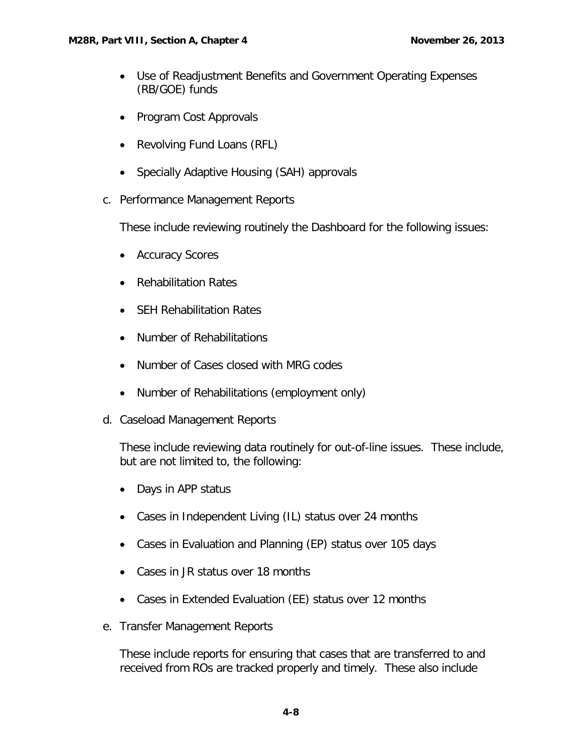- Use of Readjustment Benefits and Government Operating Expenses (RB/GOE) funds
- Program Cost Approvals
- Revolving Fund Loans (RFL)
- Specially Adaptive Housing (SAH) approvals
- <span id="page-9-0"></span>c. Performance Management Reports

These include reviewing routinely the Dashboard for the following issues:

- Accuracy Scores
- Rehabilitation Rates
- SEH Rehabilitation Rates
- Number of Rehabilitations
- Number of Cases closed with MRG codes
- Number of Rehabilitations (employment only)
- <span id="page-9-1"></span>d. Caseload Management Reports

These include reviewing data routinely for out-of-line issues. These include, but are not limited to, the following:

- Days in APP status
- Cases in Independent Living (IL) status over 24 months
- Cases in Evaluation and Planning (EP) status over 105 days
- Cases in JR status over 18 months
- Cases in Extended Evaluation (EE) status over 12 months
- <span id="page-9-2"></span>e. Transfer Management Reports

These include reports for ensuring that cases that are transferred to and received from ROs are tracked properly and timely. These also include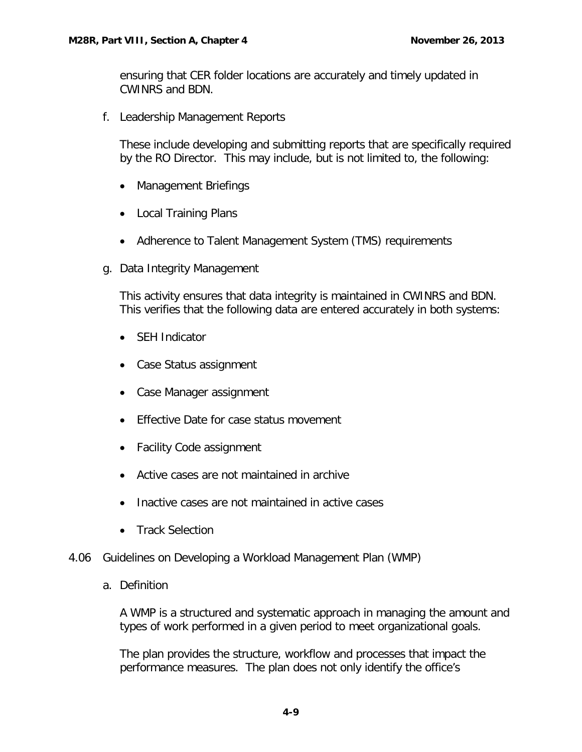ensuring that CER folder locations are accurately and timely updated in CWINRS and BDN.

<span id="page-10-0"></span>f. Leadership Management Reports

These include developing and submitting reports that are specifically required by the RO Director. This may include, but is not limited to, the following:

- Management Briefings
- Local Training Plans
- Adherence to Talent Management System (TMS) requirements
- <span id="page-10-1"></span>g. Data Integrity Management

This activity ensures that data integrity is maintained in CWINRS and BDN. This verifies that the following data are entered accurately in both systems:

- SEH Indicator
- Case Status assignment
- Case Manager assignment
- Effective Date for case status movement
- Facility Code assignment
- Active cases are not maintained in archive
- Inactive cases are not maintained in active cases
- Track Selection

# <span id="page-10-3"></span><span id="page-10-2"></span>4.06 Guidelines on Developing a Workload Management Plan (WMP)

a. Definition

A WMP is a structured and systematic approach in managing the amount and types of work performed in a given period to meet organizational goals.

The plan provides the structure, workflow and processes that impact the performance measures. The plan does not only identify the office's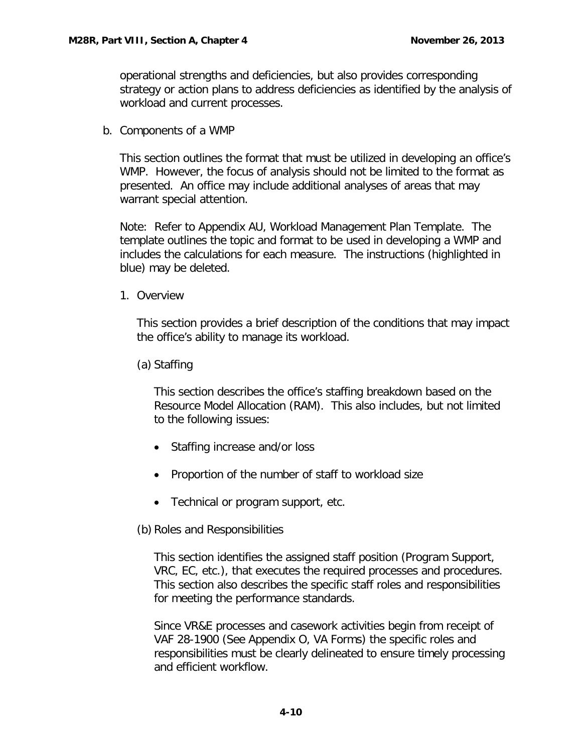operational strengths and deficiencies, but also provides corresponding strategy or action plans to address deficiencies as identified by the analysis of workload and current processes.

<span id="page-11-0"></span>b. Components of a WMP

This section outlines the format that must be utilized in developing an office's WMP. However, the focus of analysis should not be limited to the format as presented. An office may include additional analyses of areas that may warrant special attention.

Note: Refer to Appendix AU, Workload Management Plan Template. The template outlines the topic and format to be used in developing a WMP and includes the calculations for each measure. The instructions (highlighted in blue) may be deleted.

<span id="page-11-1"></span>1. Overview

This section provides a brief description of the conditions that may impact the office's ability to manage its workload.

(a) Staffing

This section describes the office's staffing breakdown based on the Resource Model Allocation (RAM). This also includes, but not limited to the following issues:

- Staffing increase and/or loss
- Proportion of the number of staff to workload size
- Technical or program support, etc.
- (b) Roles and Responsibilities

This section identifies the assigned staff position (Program Support, VRC, EC, etc.), that executes the required processes and procedures. This section also describes the specific staff roles and responsibilities for meeting the performance standards.

Since VR&E processes and casework activities begin from receipt of VAF 28-1900 (See Appendix O, VA Forms) the specific roles and responsibilities must be clearly delineated to ensure timely processing and efficient workflow.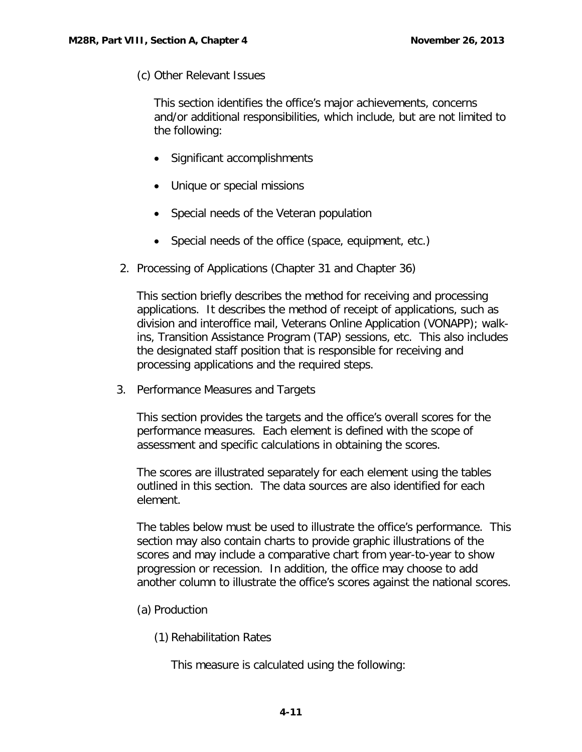(c) Other Relevant Issues

This section identifies the office's major achievements, concerns and/or additional responsibilities, which include, but are not limited to the following:

- Significant accomplishments
- Unique or special missions
- Special needs of the Veteran population
- Special needs of the office (space, equipment, etc.)
- <span id="page-12-0"></span>2. Processing of Applications (Chapter 31 and Chapter 36)

This section briefly describes the method for receiving and processing applications. It describes the method of receipt of applications, such as division and interoffice mail, Veterans Online Application (VONAPP); walkins, Transition Assistance Program (TAP) sessions, etc. This also includes the designated staff position that is responsible for receiving and processing applications and the required steps.

<span id="page-12-1"></span>3. Performance Measures and Targets

This section provides the targets and the office's overall scores for the performance measures. Each element is defined with the scope of assessment and specific calculations in obtaining the scores.

The scores are illustrated separately for each element using the tables outlined in this section. The data sources are also identified for each element.

The tables below must be used to illustrate the office's performance. This section may also contain charts to provide graphic illustrations of the scores and may include a comparative chart from year-to-year to show progression or recession. In addition, the office may choose to add another column to illustrate the office's scores against the national scores.

- (a) Production
	- (1) Rehabilitation Rates

This measure is calculated using the following: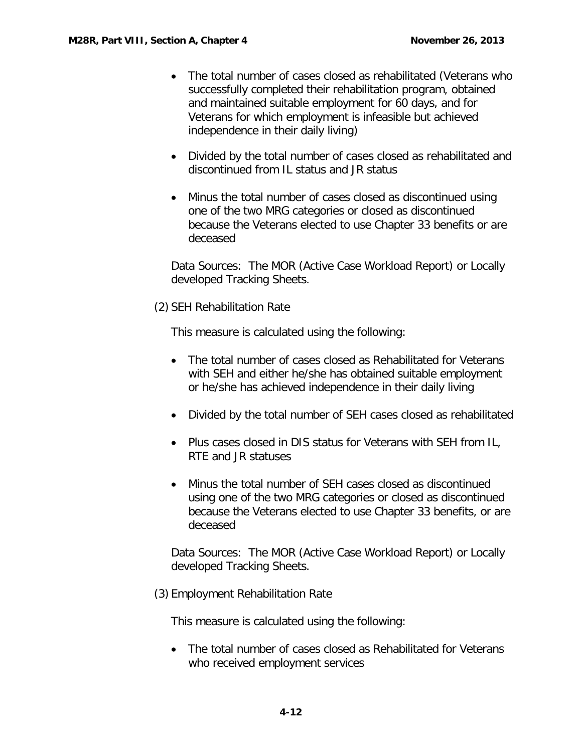- The total number of cases closed as rehabilitated (Veterans who successfully completed their rehabilitation program, obtained and maintained suitable employment for 60 days, and for Veterans for which employment is infeasible but achieved independence in their daily living)
- Divided by the total number of cases closed as rehabilitated and discontinued from IL status and JR status
- Minus the total number of cases closed as discontinued using one of the two MRG categories or closed as discontinued because the Veterans elected to use Chapter 33 benefits or are deceased

Data Sources: The MOR (Active Case Workload Report) or Locally developed Tracking Sheets.

(2) SEH Rehabilitation Rate

This measure is calculated using the following:

- The total number of cases closed as Rehabilitated for Veterans with SEH and either he/she has obtained suitable employment or he/she has achieved independence in their daily living
- Divided by the total number of SEH cases closed as rehabilitated
- Plus cases closed in DIS status for Veterans with SEH from IL, RTE and JR statuses
- Minus the total number of SEH cases closed as discontinued using one of the two MRG categories or closed as discontinued because the Veterans elected to use Chapter 33 benefits, or are deceased

Data Sources: The MOR (Active Case Workload Report) or Locally developed Tracking Sheets.

(3) Employment Rehabilitation Rate

This measure is calculated using the following:

• The total number of cases closed as Rehabilitated for Veterans who received employment services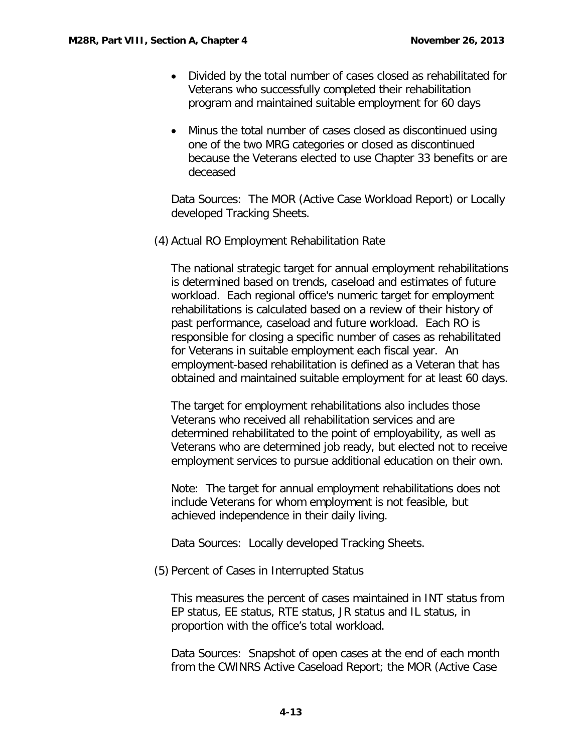- Divided by the total number of cases closed as rehabilitated for Veterans who successfully completed their rehabilitation program and maintained suitable employment for 60 days
- Minus the total number of cases closed as discontinued using one of the two MRG categories or closed as discontinued because the Veterans elected to use Chapter 33 benefits or are deceased

Data Sources: The MOR (Active Case Workload Report) or Locally developed Tracking Sheets.

(4) Actual RO Employment Rehabilitation Rate

The national strategic target for annual employment rehabilitations is determined based on trends, caseload and estimates of future workload. Each regional office's numeric target for employment rehabilitations is calculated based on a review of their history of past performance, caseload and future workload. Each RO is responsible for closing a specific number of cases as rehabilitated for Veterans in suitable employment each fiscal year. An employment-based rehabilitation is defined as a Veteran that has obtained and maintained suitable employment for at least 60 days.

The target for employment rehabilitations also includes those Veterans who received all rehabilitation services and are determined rehabilitated to the point of employability, as well as Veterans who are determined job ready, but elected not to receive employment services to pursue additional education on their own.

Note: The target for annual employment rehabilitations does not include Veterans for whom employment is not feasible, but achieved independence in their daily living.

Data Sources: Locally developed Tracking Sheets.

(5) Percent of Cases in Interrupted Status

This measures the percent of cases maintained in INT status from EP status, EE status, RTE status, JR status and IL status, in proportion with the office's total workload.

Data Sources: Snapshot of open cases at the end of each month from the CWINRS Active Caseload Report; the MOR (Active Case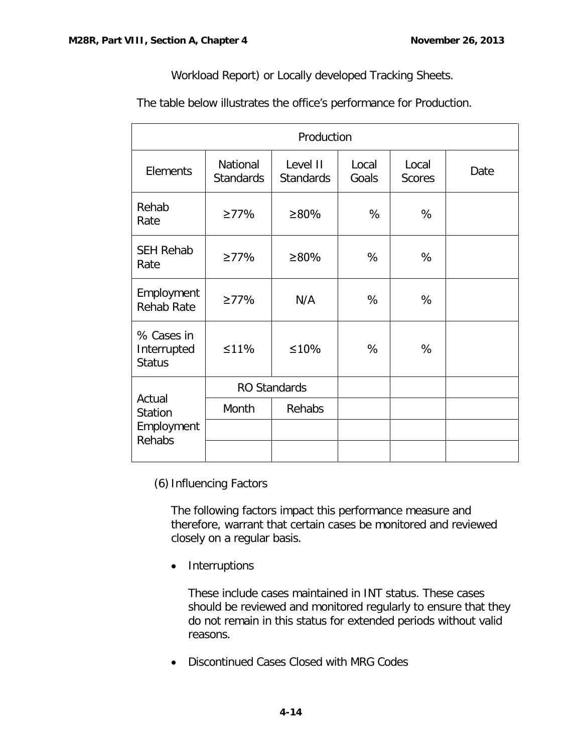Workload Report) or Locally developed Tracking Sheets.

The table below illustrates the office's performance for Production.

| Production                                       |                              |                              |                |                        |      |  |  |  |  |
|--------------------------------------------------|------------------------------|------------------------------|----------------|------------------------|------|--|--|--|--|
| Elements                                         | National<br><b>Standards</b> | Level II<br><b>Standards</b> | Local<br>Goals | Local<br><b>Scores</b> | Date |  |  |  |  |
| Rehab<br>Rate                                    | $\geq 77\%$                  | $\geq 80\%$                  | %              | %                      |      |  |  |  |  |
| <b>SEH Rehab</b><br>Rate                         | $\geq$ 77%                   | ≥80%                         | %              | %                      |      |  |  |  |  |
| Employment<br><b>Rehab Rate</b>                  | $\geq$ 77%                   | N/A                          | %              | %                      |      |  |  |  |  |
| % Cases in<br>Interrupted<br><b>Status</b>       | $\leq$ 11%                   | $\leq 10\%$                  | %              | %                      |      |  |  |  |  |
| Actual<br><b>Station</b><br>Employment<br>Rehabs |                              | <b>RO Standards</b>          |                |                        |      |  |  |  |  |
|                                                  | Month                        | Rehabs                       |                |                        |      |  |  |  |  |
|                                                  |                              |                              |                |                        |      |  |  |  |  |
|                                                  |                              |                              |                |                        |      |  |  |  |  |

(6) Influencing Factors

The following factors impact this performance measure and therefore, warrant that certain cases be monitored and reviewed closely on a regular basis.

• Interruptions

These include cases maintained in INT status. These cases should be reviewed and monitored regularly to ensure that they do not remain in this status for extended periods without valid reasons.

• Discontinued Cases Closed with MRG Codes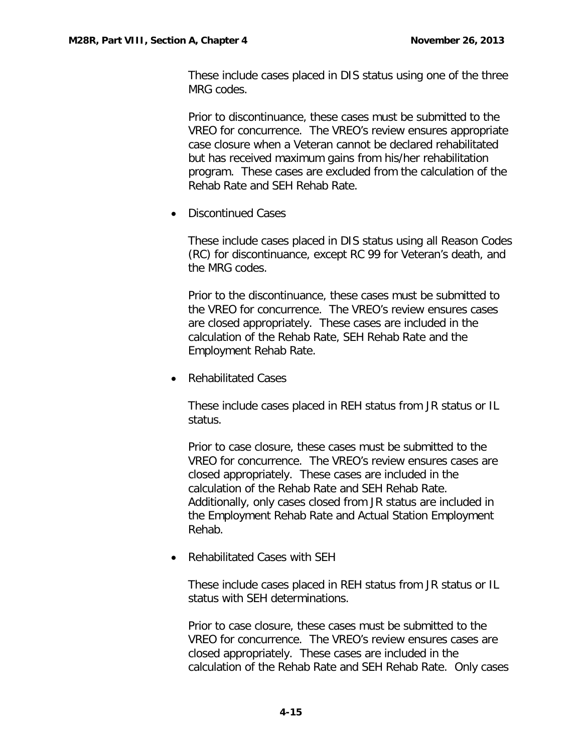These include cases placed in DIS status using one of the three MRG codes.

Prior to discontinuance, these cases must be submitted to the VREO for concurrence. The VREO's review ensures appropriate case closure when a Veteran cannot be declared rehabilitated but has received maximum gains from his/her rehabilitation program. These cases are excluded from the calculation of the Rehab Rate and SEH Rehab Rate.

• Discontinued Cases

These include cases placed in DIS status using all Reason Codes (RC) for discontinuance, except RC 99 for Veteran's death, and the MRG codes.

Prior to the discontinuance, these cases must be submitted to the VREO for concurrence. The VREO's review ensures cases are closed appropriately. These cases are included in the calculation of the Rehab Rate, SEH Rehab Rate and the Employment Rehab Rate.

• Rehabilitated Cases

These include cases placed in REH status from JR status or IL status.

Prior to case closure, these cases must be submitted to the VREO for concurrence. The VREO's review ensures cases are closed appropriately. These cases are included in the calculation of the Rehab Rate and SEH Rehab Rate. Additionally, only cases closed from JR status are included in the Employment Rehab Rate and Actual Station Employment Rehab.

• Rehabilitated Cases with SEH

These include cases placed in REH status from JR status or IL status with SEH determinations.

Prior to case closure, these cases must be submitted to the VREO for concurrence. The VREO's review ensures cases are closed appropriately. These cases are included in the calculation of the Rehab Rate and SEH Rehab Rate. Only cases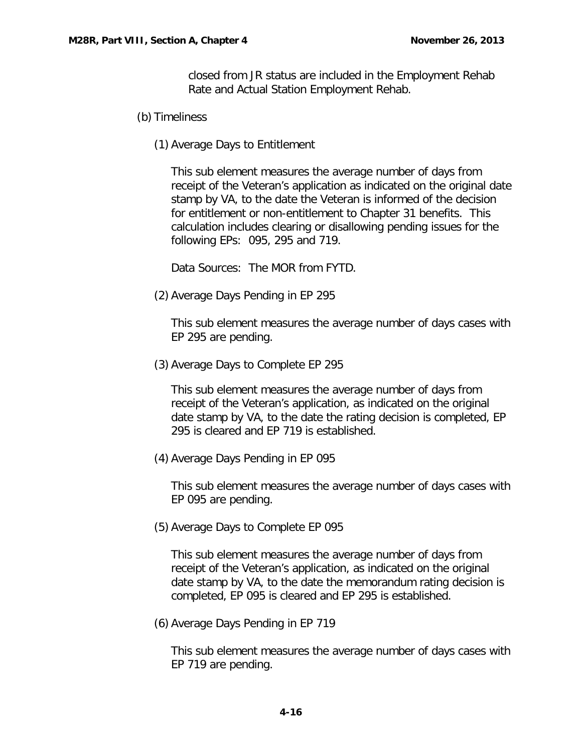closed from JR status are included in the Employment Rehab Rate and Actual Station Employment Rehab.

- (b) Timeliness
	- (1) Average Days to Entitlement

This sub element measures the average number of days from receipt of the Veteran's application as indicated on the original date stamp by VA, to the date the Veteran is informed of the decision for entitlement or non-entitlement to Chapter 31 benefits. This calculation includes clearing or disallowing pending issues for the following EPs: 095, 295 and 719.

Data Sources: The MOR from FYTD.

(2) Average Days Pending in EP 295

This sub element measures the average number of days cases with EP 295 are pending.

(3) Average Days to Complete EP 295

This sub element measures the average number of days from receipt of the Veteran's application, as indicated on the original date stamp by VA, to the date the rating decision is completed, EP 295 is cleared and EP 719 is established.

(4) Average Days Pending in EP 095

This sub element measures the average number of days cases with EP 095 are pending.

(5) Average Days to Complete EP 095

This sub element measures the average number of days from receipt of the Veteran's application, as indicated on the original date stamp by VA, to the date the memorandum rating decision is completed, EP 095 is cleared and EP 295 is established.

(6) Average Days Pending in EP 719

This sub element measures the average number of days cases with EP 719 are pending.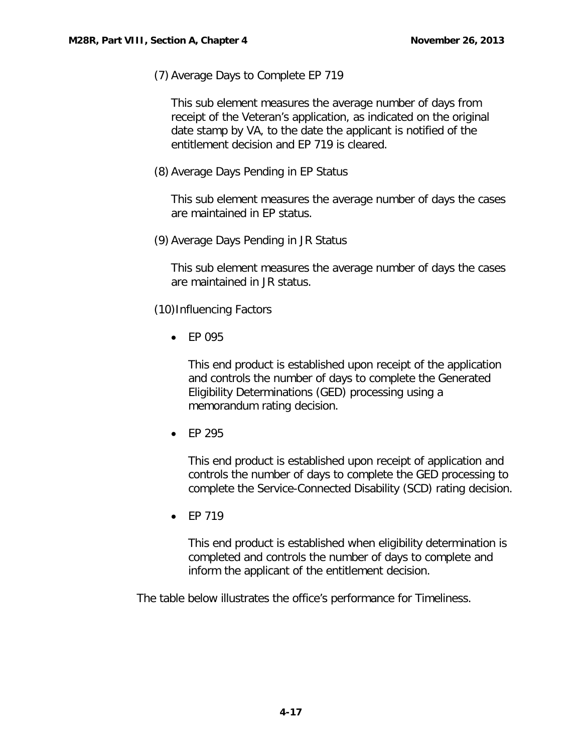(7) Average Days to Complete EP 719

This sub element measures the average number of days from receipt of the Veteran's application, as indicated on the original date stamp by VA, to the date the applicant is notified of the entitlement decision and EP 719 is cleared.

(8) Average Days Pending in EP Status

This sub element measures the average number of days the cases are maintained in EP status.

(9) Average Days Pending in JR Status

This sub element measures the average number of days the cases are maintained in JR status.

(10)Influencing Factors

• EP 095

This end product is established upon receipt of the application and controls the number of days to complete the Generated Eligibility Determinations (GED) processing using a memorandum rating decision.

• EP 295

This end product is established upon receipt of application and controls the number of days to complete the GED processing to complete the Service-Connected Disability (SCD) rating decision.

• EP 719

This end product is established when eligibility determination is completed and controls the number of days to complete and inform the applicant of the entitlement decision.

The table below illustrates the office's performance for Timeliness.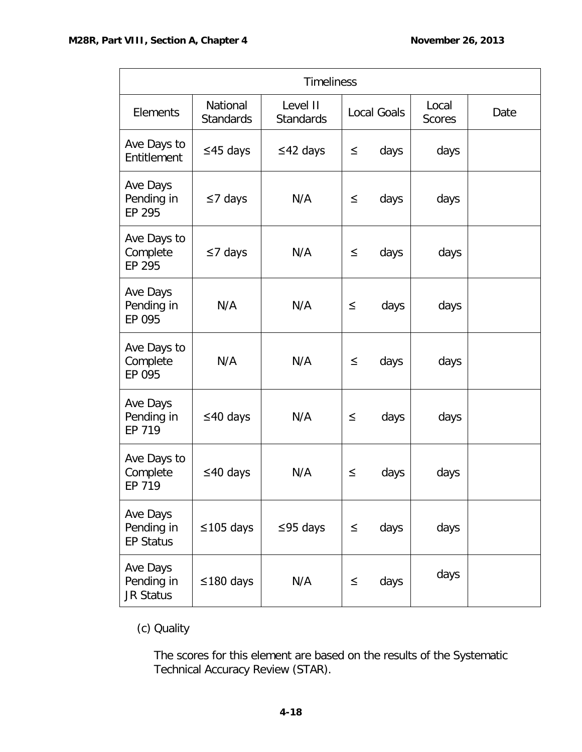| <b>Timeliness</b>                          |                              |                              |        |                    |                        |      |  |  |
|--------------------------------------------|------------------------------|------------------------------|--------|--------------------|------------------------|------|--|--|
| <b>Elements</b>                            | National<br><b>Standards</b> | Level II<br><b>Standards</b> |        | <b>Local Goals</b> | Local<br><b>Scores</b> | Date |  |  |
| Ave Days to<br>Entitlement                 | $\leq$ 45 days               | $\leq$ 42 days               | $\leq$ | days               | days                   |      |  |  |
| Ave Days<br>Pending in<br>EP 295           | $\leq$ 7 days                | N/A                          | $\leq$ | days               | days                   |      |  |  |
| Ave Days to<br>Complete<br>EP 295          | $\leq$ 7 days                | N/A                          | $\leq$ | days               | days                   |      |  |  |
| Ave Days<br>Pending in<br>EP 095           | N/A                          | N/A                          | $\leq$ | days               | days                   |      |  |  |
| Ave Days to<br>Complete<br>EP 095          | N/A                          | N/A                          | $\leq$ | days               | days                   |      |  |  |
| Ave Days<br>Pending in<br>EP 719           | $\leq$ 40 days               | N/A                          | $\leq$ | days               | days                   |      |  |  |
| Ave Days to<br>Complete<br>EP 719          | $\leq$ 40 days               | N/A                          | $\leq$ | days               | days                   |      |  |  |
| Ave Days<br>Pending in<br><b>EP Status</b> | $\leq$ 105 days              | $\leq$ 95 days               | $\leq$ | days               | days                   |      |  |  |
| Ave Days<br>Pending in<br><b>JR Status</b> | $\leq$ 180 days              | N/A                          | $\leq$ | days               | days                   |      |  |  |

# (c) Quality

The scores for this element are based on the results of the Systematic Technical Accuracy Review (STAR).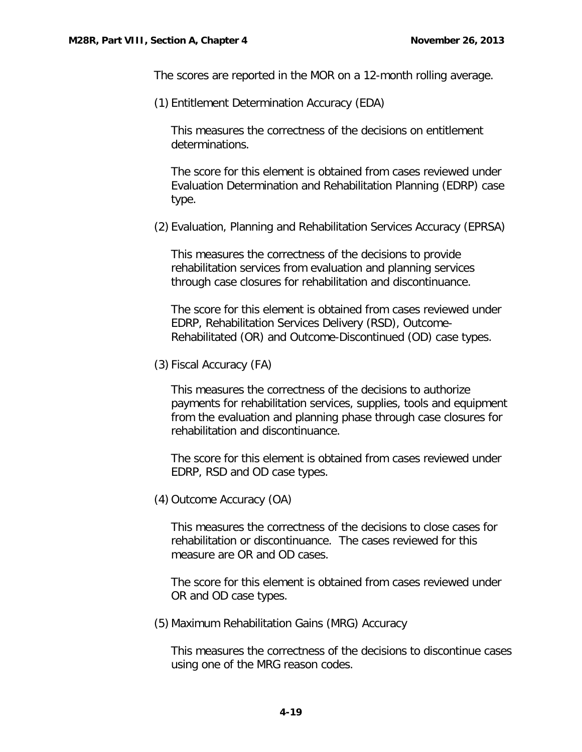The scores are reported in the MOR on a 12-month rolling average.

(1) Entitlement Determination Accuracy (EDA)

This measures the correctness of the decisions on entitlement determinations.

The score for this element is obtained from cases reviewed under Evaluation Determination and Rehabilitation Planning (EDRP) case type.

(2) Evaluation, Planning and Rehabilitation Services Accuracy (EPRSA)

This measures the correctness of the decisions to provide rehabilitation services from evaluation and planning services through case closures for rehabilitation and discontinuance.

The score for this element is obtained from cases reviewed under EDRP, Rehabilitation Services Delivery (RSD), Outcome-Rehabilitated (OR) and Outcome-Discontinued (OD) case types.

(3) Fiscal Accuracy (FA)

This measures the correctness of the decisions to authorize payments for rehabilitation services, supplies, tools and equipment from the evaluation and planning phase through case closures for rehabilitation and discontinuance.

The score for this element is obtained from cases reviewed under EDRP, RSD and OD case types.

(4) Outcome Accuracy (OA)

This measures the correctness of the decisions to close cases for rehabilitation or discontinuance. The cases reviewed for this measure are OR and OD cases.

The score for this element is obtained from cases reviewed under OR and OD case types.

(5) Maximum Rehabilitation Gains (MRG) Accuracy

This measures the correctness of the decisions to discontinue cases using one of the MRG reason codes.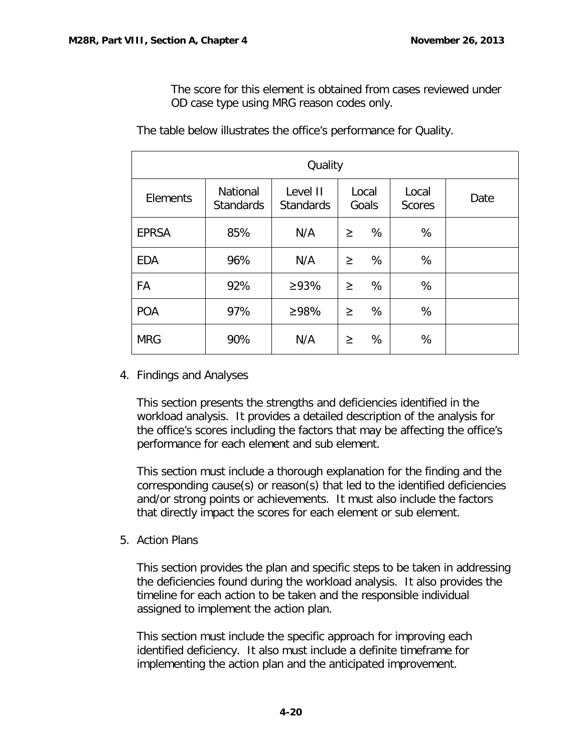The score for this element is obtained from cases reviewed under OD case type using MRG reason codes only.

| Quality      |                                     |                              |        |                |                        |      |  |  |  |
|--------------|-------------------------------------|------------------------------|--------|----------------|------------------------|------|--|--|--|
| Elements     | <b>National</b><br><b>Standards</b> | Level II<br><b>Standards</b> |        | Local<br>Goals | Local<br><b>Scores</b> | Date |  |  |  |
| <b>EPRSA</b> | 85%                                 | N/A                          | $\geq$ | %              | %                      |      |  |  |  |
| <b>EDA</b>   | 96%                                 | N/A                          | $\geq$ | %              | %                      |      |  |  |  |
| FA           | 92%                                 | $\geq 93\%$                  | $\geq$ | %              | %                      |      |  |  |  |
| <b>POA</b>   | 97%                                 | ≥98%                         | $\geq$ | %              | %                      |      |  |  |  |
| <b>MRG</b>   | 90%                                 | N/A                          | ≥      | %              | %                      |      |  |  |  |

The table below illustrates the office's performance for Quality.

<span id="page-21-0"></span>4. Findings and Analyses

This section presents the strengths and deficiencies identified in the workload analysis. It provides a detailed description of the analysis for the office's scores including the factors that may be affecting the office's performance for each element and sub element.

This section must include a thorough explanation for the finding and the corresponding cause(s) or reason(s) that led to the identified deficiencies and/or strong points or achievements. It must also include the factors that directly impact the scores for each element or sub element.

<span id="page-21-1"></span>5. Action Plans

This section provides the plan and specific steps to be taken in addressing the deficiencies found during the workload analysis. It also provides the timeline for each action to be taken and the responsible individual assigned to implement the action plan.

This section must include the specific approach for improving each identified deficiency. It also must include a definite timeframe for implementing the action plan and the anticipated improvement.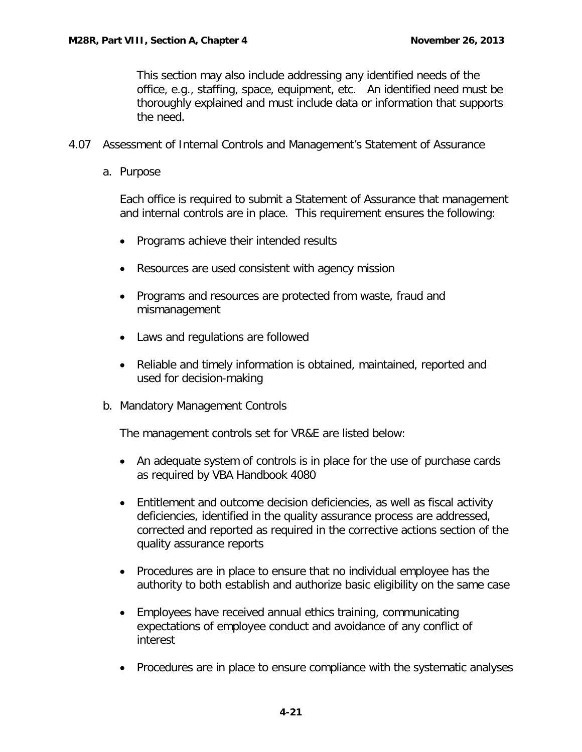This section may also include addressing any identified needs of the office, e.g., staffing, space, equipment, etc. An identified need must be thoroughly explained and must include data or information that supports the need.

- <span id="page-22-1"></span><span id="page-22-0"></span>4.07 Assessment of Internal Controls and Management's Statement of Assurance
	- a. Purpose

Each office is required to submit a Statement of Assurance that management and internal controls are in place. This requirement ensures the following:

- Programs achieve their intended results
- Resources are used consistent with agency mission
- Programs and resources are protected from waste, fraud and mismanagement
- Laws and regulations are followed
- Reliable and timely information is obtained, maintained, reported and used for decision-making
- <span id="page-22-2"></span>b. Mandatory Management Controls

The management controls set for VR&E are listed below:

- An adequate system of controls is in place for the use of purchase cards as required by VBA Handbook 4080
- Entitlement and outcome decision deficiencies, as well as fiscal activity deficiencies, identified in the quality assurance process are addressed, corrected and reported as required in the corrective actions section of the quality assurance reports
- Procedures are in place to ensure that no individual employee has the authority to both establish and authorize basic eligibility on the same case
- Employees have received annual ethics training, communicating expectations of employee conduct and avoidance of any conflict of interest
- Procedures are in place to ensure compliance with the systematic analyses